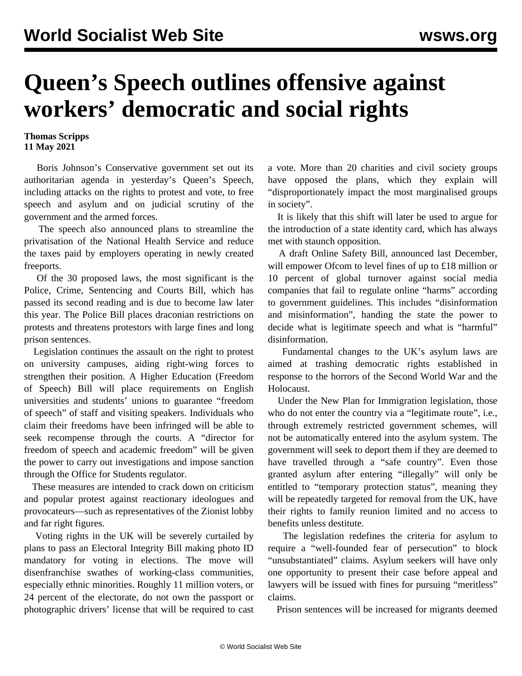## **Queen's Speech outlines offensive against workers' democratic and social rights**

## **Thomas Scripps 11 May 2021**

 Boris Johnson's Conservative government set out its authoritarian agenda in yesterday's Queen's Speech, including attacks on the rights to protest and vote, to free speech and asylum and on judicial scrutiny of the government and the armed forces.

 The speech also announced plans to streamline the privatisation of the National Health Service and reduce the taxes paid by employers operating in newly created freeports.

 Of the 30 proposed laws, the most significant is the Police, Crime, Sentencing and Courts Bill, which has passed its second reading and is due to become law later this year. The [Police Bill](/en/articles/2021/03/20/poli-m20.html) places draconian restrictions on protests and threatens protestors with large fines and long prison sentences.

 Legislation continues the assault on the right to protest on university campuses, aiding right-wing forces to strengthen their position. A Higher Education (Freedom of Speech) [Bill](/en/articles/2021/02/18/free-j01.html) will place requirements on English universities and students' unions to guarantee "freedom of speech" of staff and visiting speakers. Individuals who claim their freedoms have been infringed will be able to seek recompense through the courts. A "director for freedom of speech and academic freedom" will be given the power to carry out investigations and impose sanction through the Office for Students regulator.

 These measures are intended to crack down on criticism and popular protest against reactionary ideologues and provocateurs—such as representatives of the Zionist lobby and far right figures.

 Voting rights in the UK will be severely curtailed by plans to pass an Electoral Integrity Bill making photo ID mandatory for voting in elections. The move will disenfranchise swathes of working-class communities, especially ethnic minorities. Roughly 11 million voters, or 24 percent of the electorate, do not own the passport or photographic drivers' license that will be required to cast a vote. More than 20 charities and civil society groups have opposed the plans, which they explain will "disproportionately impact the most marginalised groups in society".

 It is likely that this shift will later be used to argue for the introduction of a state identity card, which has always met with staunch opposition.

 A draft Online Safety Bill, announced last December, will empower Ofcom to level fines of up to £18 million or 10 percent of global turnover against social media companies that fail to regulate online "harms" according to government guidelines. This includes "disinformation and misinformation", handing the state the power to decide what is legitimate speech and what is "harmful" disinformation.

 Fundamental changes to the UK's asylum laws are aimed at trashing democratic rights established in response to the horrors of the Second World War and the Holocaust.

 Under the New Plan for Immigration legislation, those who do not enter the country via a "legitimate route", i.e., through extremely restricted government schemes, will not be automatically entered into the asylum system. The government will seek to deport them if they are deemed to have travelled through a "safe country". Even those granted asylum after entering "illegally" will only be entitled to "temporary protection status", meaning they will be repeatedly targeted for removal from the UK, have their rights to family reunion limited and no access to benefits unless destitute.

 The legislation redefines the criteria for asylum to require a "well-founded fear of persecution" to block "unsubstantiated" claims. Asylum seekers will have only one opportunity to present their case before appeal and lawyers will be issued with fines for pursuing "meritless" claims.

Prison sentences will be increased for migrants deemed